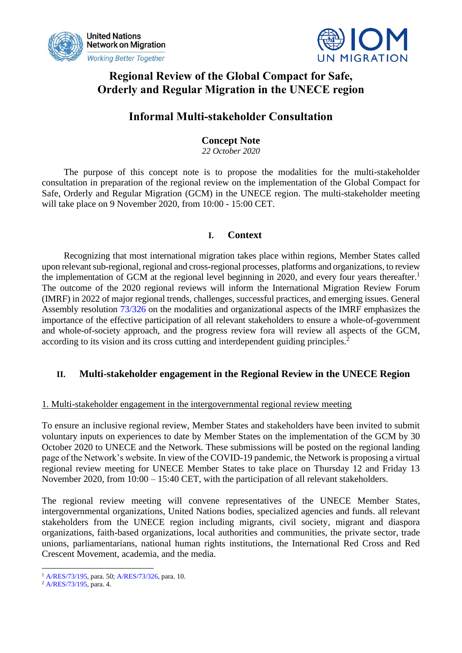



## **Regional Review of the Global Compact for Safe, Orderly and Regular Migration in the UNECE region**

## **Informal Multi-stakeholder Consultation**

## **Concept Note**

*22 October 2020*

The purpose of this concept note is to propose the modalities for the multi-stakeholder consultation in preparation of the regional review on the implementation of the Global Compact for Safe, Orderly and Regular Migration (GCM) in the UNECE region. The multi-stakeholder meeting will take place on 9 November 2020, from 10:00 - 15:00 CET.

## **I. Context**

Recognizing that most international migration takes place within regions, Member States called upon relevant sub-regional, regional and cross-regional processes, platforms and organizations, to review the implementation of GCM at the regional level beginning in 2020, and every four years thereafter.<sup>1</sup> The outcome of the 2020 regional reviews will inform the International Migration Review Forum (IMRF) in 2022 of major regional trends, challenges, successful practices, and emerging issues. General Assembly resolution [73/326](https://undocs.org/en/A/RES/73/326) on the modalities and organizational aspects of the IMRF emphasizes the importance of the effective participation of all relevant stakeholders to ensure a whole-of-government and whole-of-society approach, and the progress review fora will review all aspects of the GCM, according to its vision and its cross cutting and interdependent guiding principles.<sup>2</sup>

## **II. Multi-stakeholder engagement in the Regional Review in the UNECE Region**

### 1. Multi-stakeholder engagement in the intergovernmental regional review meeting

To ensure an inclusive regional review, Member States and stakeholders have been invited to submit voluntary inputs on experiences to date by Member States on the implementation of the GCM by 30 October 2020 to UNECE and the Network. These submissions will be posted on the regional landing page of the Network's website. In view of the COVID-19 pandemic, the Network is proposing a virtual regional review meeting for UNECE Member States to take place on Thursday 12 and Friday 13 November 2020, from 10:00 – 15:40 CET, with the participation of all relevant stakeholders.

The regional review meeting will convene representatives of the UNECE Member States, intergovernmental organizations, United Nations bodies, specialized agencies and funds. all relevant stakeholders from the UNECE region including migrants, civil society, migrant and diaspora organizations, faith-based organizations, local authorities and communities, the private sector, trade unions, parliamentarians, national human rights institutions, the International Red Cross and Red Crescent Movement, academia, and the media.

<sup>1</sup> [A/RES/73/195,](https://undocs.org/en/A/RES/73/195) para. 50[; A/RES/73/326,](https://undocs.org/en/A/RES/73/326) para. 10.

<sup>2</sup> [A/RES/73/195,](https://undocs.org/en/A/RES/73/195) para. 4.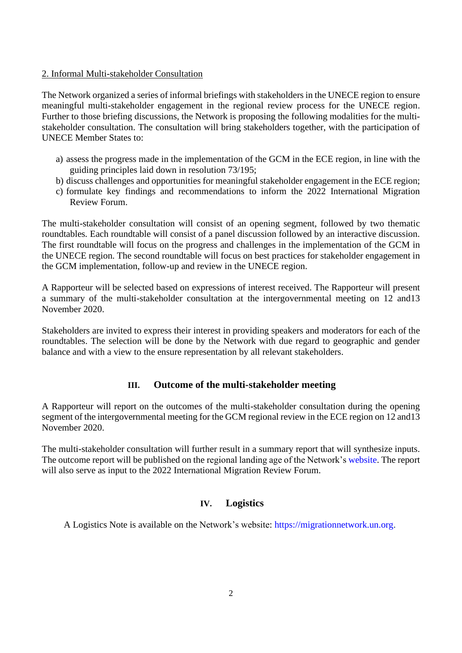#### 2. Informal Multi-stakeholder Consultation

The Network organized a series of informal briefings with stakeholders in the UNECE region to ensure meaningful multi-stakeholder engagement in the regional review process for the UNECE region. Further to those briefing discussions, the Network is proposing the following modalities for the multistakeholder consultation. The consultation will bring stakeholders together, with the participation of UNECE Member States to:

- a) assess the progress made in the implementation of the GCM in the ECE region, in line with the guiding principles laid down in resolution 73/195;
- b) discuss challenges and opportunities for meaningful stakeholder engagement in the ECE region;
- c) formulate key findings and recommendations to inform the 2022 International Migration Review Forum.

The multi-stakeholder consultation will consist of an opening segment, followed by two thematic roundtables*.* Each roundtable will consist of a panel discussion followed by an interactive discussion. The first roundtable will focus on the progress and challenges in the implementation of the GCM in the UNECE region. The second roundtable will focus on best practices for stakeholder engagement in the GCM implementation, follow-up and review in the UNECE region.

A Rapporteur will be selected based on expressions of interest received. The Rapporteur will present a summary of the multi-stakeholder consultation at the intergovernmental meeting on 12 and13 November 2020.

Stakeholders are invited to express their interest in providing speakers and moderators for each of the roundtables. The selection will be done by the Network with due regard to geographic and gender balance and with a view to the ensure representation by all relevant stakeholders.

#### **III. Outcome of the multi-stakeholder meeting**

A Rapporteur will report on the outcomes of the multi-stakeholder consultation during the opening segment of the intergovernmental meeting for the GCM regional review in the ECE region on 12 and13 November 2020.

The multi-stakeholder consultation will further result in a summary report that will synthesize inputs. The outcome report will be published on the regional landing age of the Network's [website.](https://migrationnetwork.un.org/country-regional-network/europe-north-america) The report will also serve as input to the 2022 International Migration Review Forum.

### **IV. Logistics**

A Logistics Note is available on the Network's website: [https://migrationnetwork.un.org.](https://migrationnetwork.un.org/)